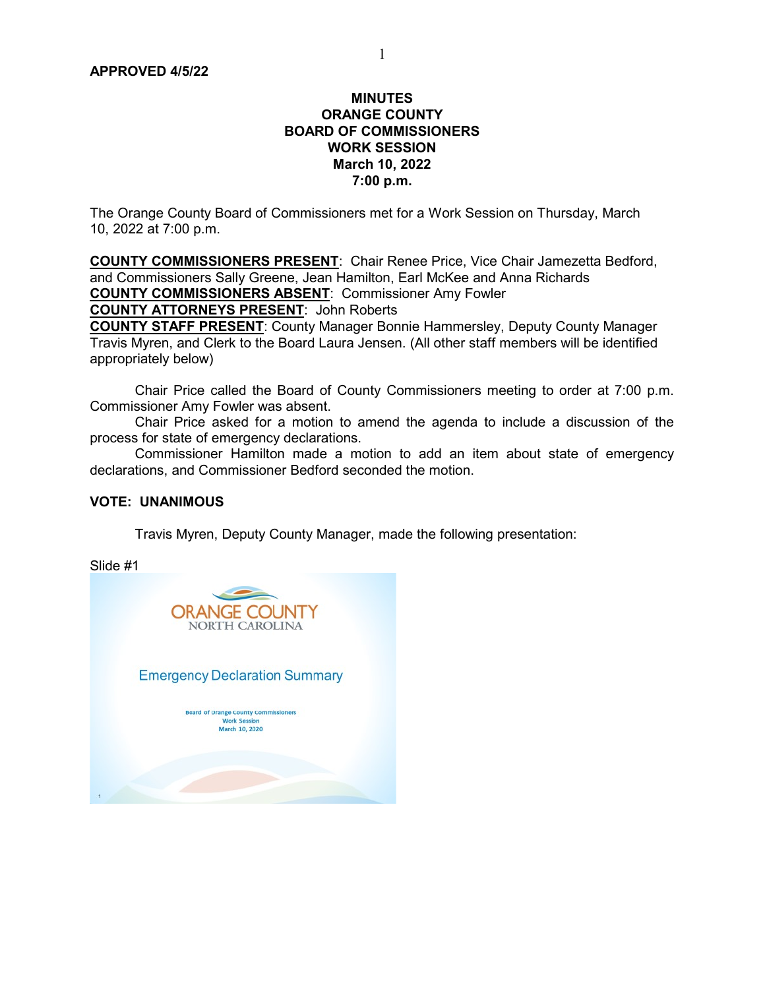#### **MINUTES** ORANGE COUNTY BOARD OF COMMISSIONERS WORK SESSION March 10, 2022 7:00 p.m.

The Orange County Board of Commissioners met for a Work Session on Thursday, March 10, 2022 at 7:00 p.m.

COUNTY COMMISSIONERS PRESENT: Chair Renee Price, Vice Chair Jamezetta Bedford, and Commissioners Sally Greene, Jean Hamilton, Earl McKee and Anna Richards COUNTY COMMISSIONERS ABSENT: Commissioner Amy Fowler COUNTY ATTORNEYS PRESENT: John Roberts COUNTY STAFF PRESENT: County Manager Bonnie Hammersley, Deputy County Manager

Travis Myren, and Clerk to the Board Laura Jensen. (All other staff members will be identified appropriately below)

 Chair Price called the Board of County Commissioners meeting to order at 7:00 p.m. Commissioner Amy Fowler was absent.

 Chair Price asked for a motion to amend the agenda to include a discussion of the process for state of emergency declarations.

 Commissioner Hamilton made a motion to add an item about state of emergency declarations, and Commissioner Bedford seconded the motion.

#### VOTE: UNANIMOUS

Travis Myren, Deputy County Manager, made the following presentation:

Slide #1

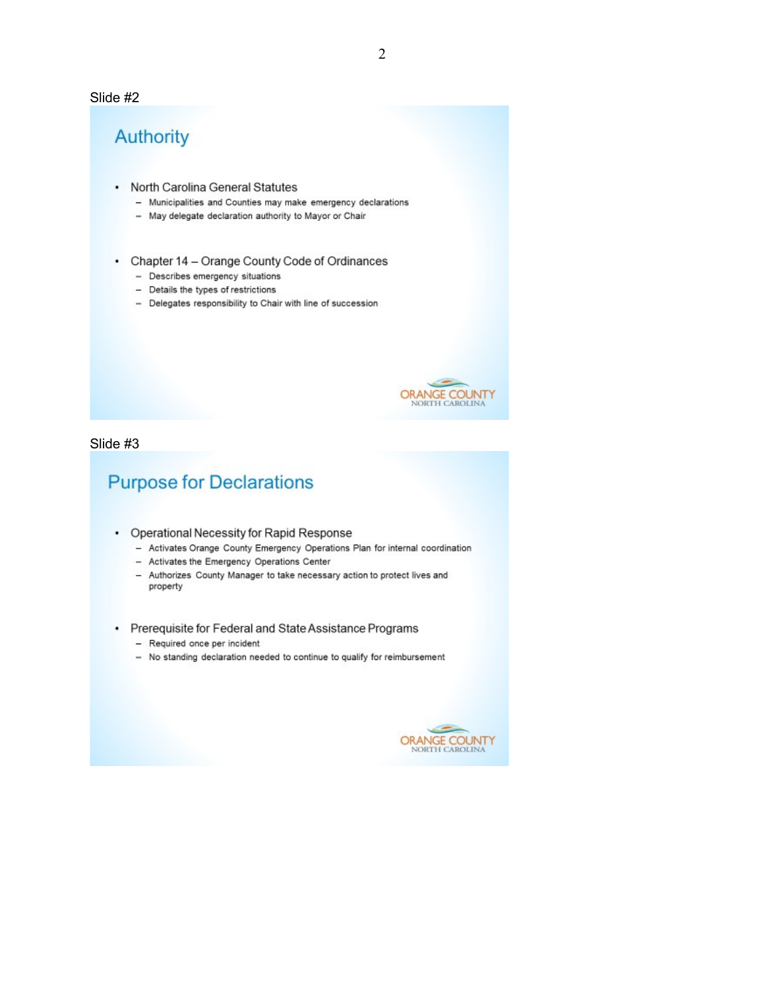#### Slide #2

# Authority

- North Carolina General Statutes
	- Municipalities and Counties may make emergency declarations
	- May delegate declaration authority to Mayor or Chair
- Chapter 14 Orange County Code of Ordinances
	- Describes emergency situations
	- Details the types of restrictions
	- Delegates responsibility to Chair with line of succession



Slide #3

# **Purpose for Declarations**

- Operational Necessity for Rapid Response
	- Activates Orange County Emergency Operations Plan for internal coordination
	- Activates the Emergency Operations Center
	- Authorizes County Manager to take necessary action to protect lives and property
- Prerequisite for Federal and State Assistance Programs
	- Required once per incident
	- No standing declaration needed to continue to qualify for reimbursement

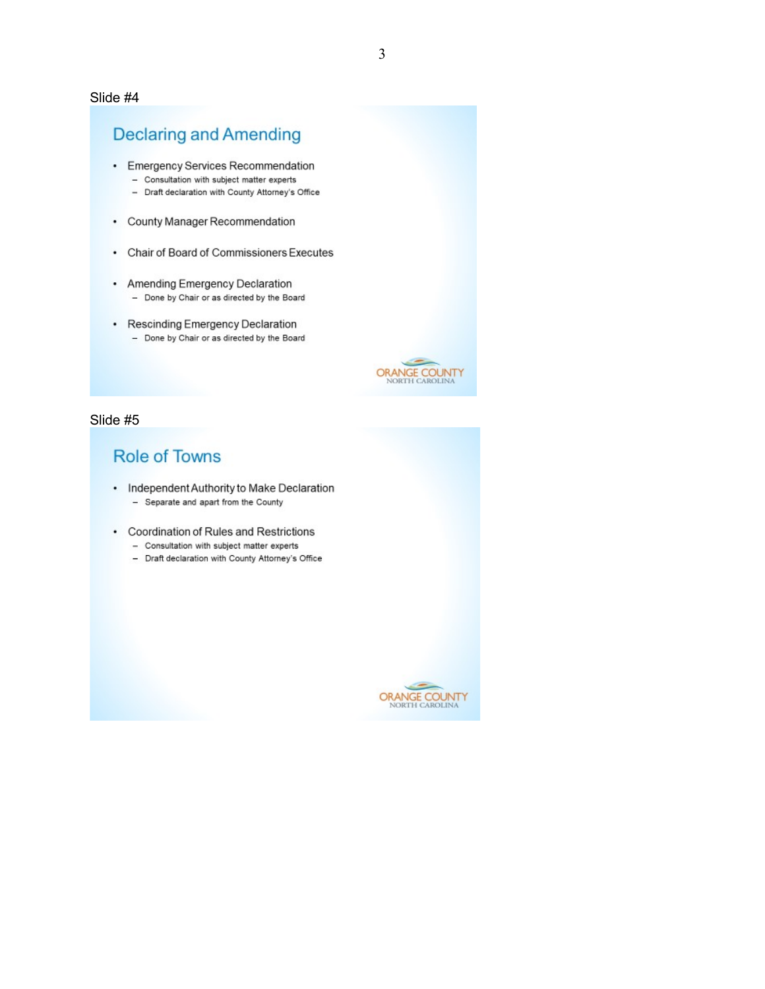#### Slide #4

### **Declaring and Amending**

- Emergency Services Recommendation
	- Consultation with subject matter experts
	- Draft declaration with County Attorney's Office
- County Manager Recommendation
- Chair of Board of Commissioners Executes
- Amending Emergency Declaration - Done by Chair or as directed by the Board
- Rescinding Emergency Declaration - Done by Chair or as directed by the Board



#### Slide #5

## **Role of Towns**

- Independent Authority to Make Declaration - Separate and apart from the County
- Coordination of Rules and Restrictions
	- Consultation with subject matter experts
	- Draft declaration with County Attorney's Office

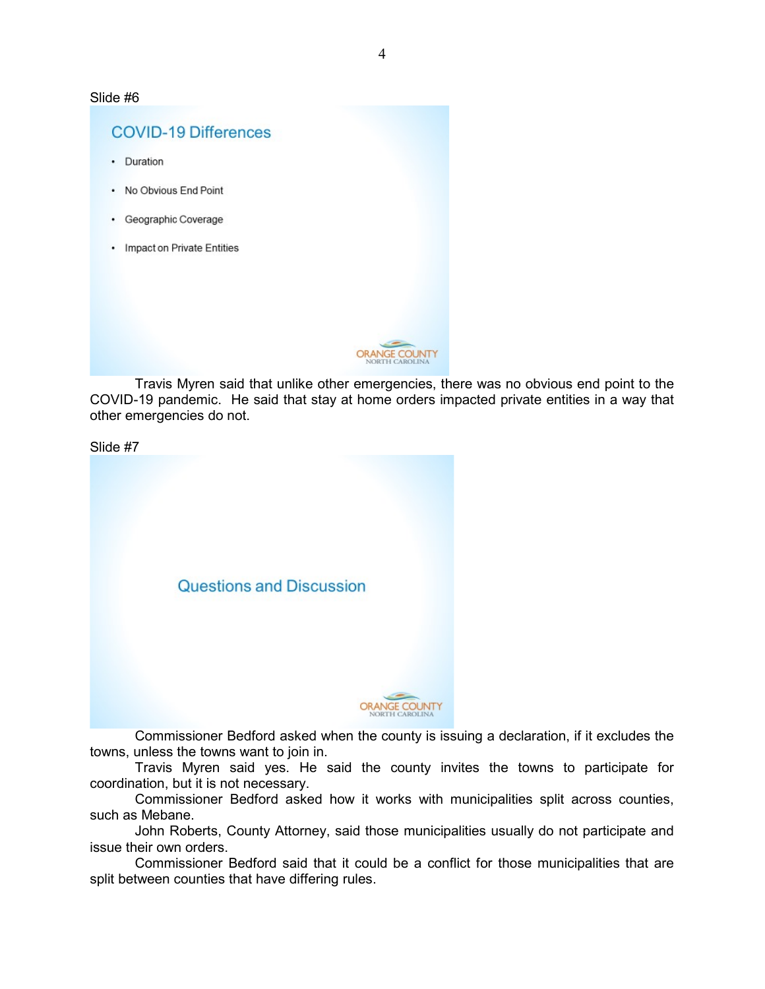Slide #6

# **COVID-19 Differences** • Duration • No Obvious End Point • Geographic Coverage • Impact on Private Entities **COUNTY**

 Travis Myren said that unlike other emergencies, there was no obvious end point to the COVID-19 pandemic. He said that stay at home orders impacted private entities in a way that other emergencies do not.

Slide #7 Questions and Discussion **ORANGE COUNTY** 

 Commissioner Bedford asked when the county is issuing a declaration, if it excludes the towns, unless the towns want to join in.

 Travis Myren said yes. He said the county invites the towns to participate for coordination, but it is not necessary.

 Commissioner Bedford asked how it works with municipalities split across counties, such as Mebane.

 John Roberts, County Attorney, said those municipalities usually do not participate and issue their own orders.

 Commissioner Bedford said that it could be a conflict for those municipalities that are split between counties that have differing rules.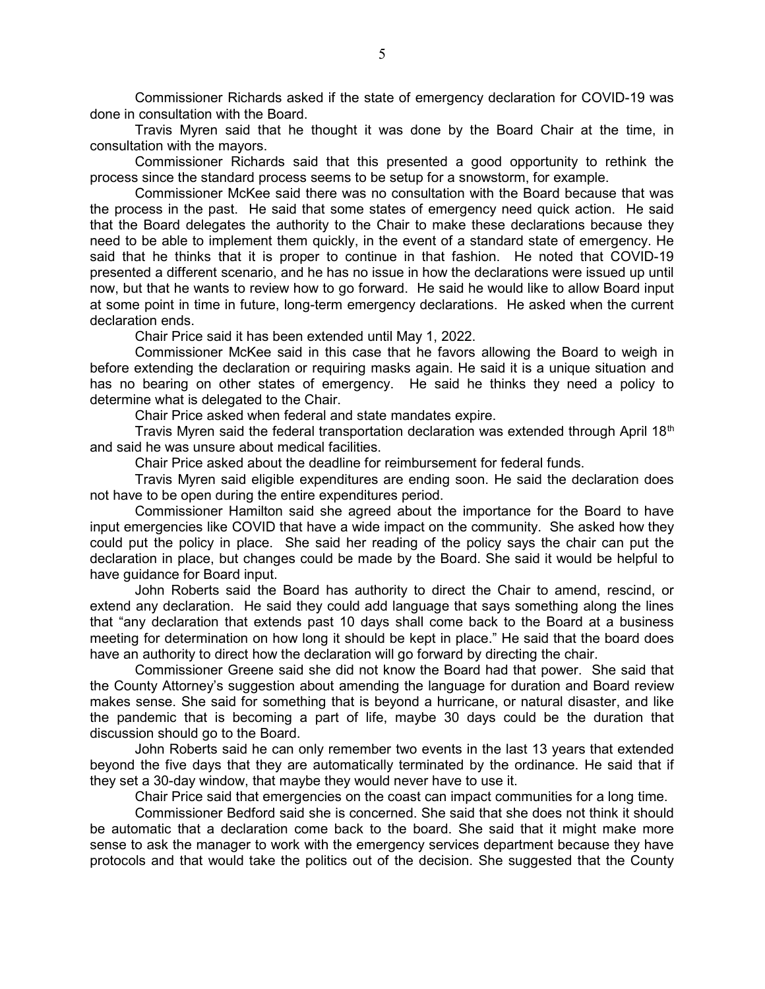Commissioner Richards asked if the state of emergency declaration for COVID-19 was done in consultation with the Board.

 Travis Myren said that he thought it was done by the Board Chair at the time, in consultation with the mayors.

 Commissioner Richards said that this presented a good opportunity to rethink the process since the standard process seems to be setup for a snowstorm, for example.

 Commissioner McKee said there was no consultation with the Board because that was the process in the past. He said that some states of emergency need quick action. He said that the Board delegates the authority to the Chair to make these declarations because they need to be able to implement them quickly, in the event of a standard state of emergency. He said that he thinks that it is proper to continue in that fashion. He noted that COVID-19 presented a different scenario, and he has no issue in how the declarations were issued up until now, but that he wants to review how to go forward. He said he would like to allow Board input at some point in time in future, long-term emergency declarations. He asked when the current declaration ends.

Chair Price said it has been extended until May 1, 2022.

 Commissioner McKee said in this case that he favors allowing the Board to weigh in before extending the declaration or requiring masks again. He said it is a unique situation and has no bearing on other states of emergency. He said he thinks they need a policy to determine what is delegated to the Chair.

Chair Price asked when federal and state mandates expire.

Travis Myren said the federal transportation declaration was extended through April  $18<sup>th</sup>$ and said he was unsure about medical facilities.

Chair Price asked about the deadline for reimbursement for federal funds.

 Travis Myren said eligible expenditures are ending soon. He said the declaration does not have to be open during the entire expenditures period.

 Commissioner Hamilton said she agreed about the importance for the Board to have input emergencies like COVID that have a wide impact on the community. She asked how they could put the policy in place. She said her reading of the policy says the chair can put the declaration in place, but changes could be made by the Board. She said it would be helpful to have guidance for Board input.

 John Roberts said the Board has authority to direct the Chair to amend, rescind, or extend any declaration. He said they could add language that says something along the lines that "any declaration that extends past 10 days shall come back to the Board at a business meeting for determination on how long it should be kept in place." He said that the board does have an authority to direct how the declaration will go forward by directing the chair.

 Commissioner Greene said she did not know the Board had that power. She said that the County Attorney's suggestion about amending the language for duration and Board review makes sense. She said for something that is beyond a hurricane, or natural disaster, and like the pandemic that is becoming a part of life, maybe 30 days could be the duration that discussion should go to the Board.

 John Roberts said he can only remember two events in the last 13 years that extended beyond the five days that they are automatically terminated by the ordinance. He said that if they set a 30-day window, that maybe they would never have to use it.

Chair Price said that emergencies on the coast can impact communities for a long time.

 Commissioner Bedford said she is concerned. She said that she does not think it should be automatic that a declaration come back to the board. She said that it might make more sense to ask the manager to work with the emergency services department because they have protocols and that would take the politics out of the decision. She suggested that the County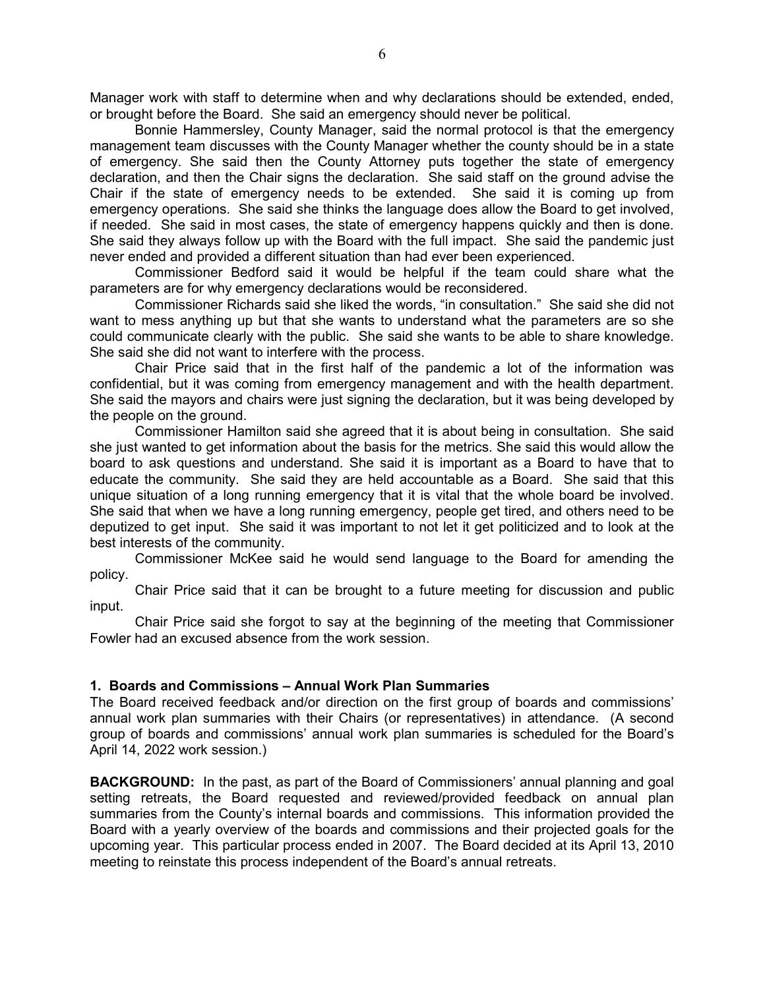Manager work with staff to determine when and why declarations should be extended, ended, or brought before the Board. She said an emergency should never be political.

 Bonnie Hammersley, County Manager, said the normal protocol is that the emergency management team discusses with the County Manager whether the county should be in a state of emergency. She said then the County Attorney puts together the state of emergency declaration, and then the Chair signs the declaration. She said staff on the ground advise the Chair if the state of emergency needs to be extended. She said it is coming up from emergency operations. She said she thinks the language does allow the Board to get involved, if needed. She said in most cases, the state of emergency happens quickly and then is done. She said they always follow up with the Board with the full impact. She said the pandemic just never ended and provided a different situation than had ever been experienced.

 Commissioner Bedford said it would be helpful if the team could share what the parameters are for why emergency declarations would be reconsidered.

 Commissioner Richards said she liked the words, "in consultation." She said she did not want to mess anything up but that she wants to understand what the parameters are so she could communicate clearly with the public. She said she wants to be able to share knowledge. She said she did not want to interfere with the process.

 Chair Price said that in the first half of the pandemic a lot of the information was confidential, but it was coming from emergency management and with the health department. She said the mayors and chairs were just signing the declaration, but it was being developed by the people on the ground.

 Commissioner Hamilton said she agreed that it is about being in consultation. She said she just wanted to get information about the basis for the metrics. She said this would allow the board to ask questions and understand. She said it is important as a Board to have that to educate the community. She said they are held accountable as a Board. She said that this unique situation of a long running emergency that it is vital that the whole board be involved. She said that when we have a long running emergency, people get tired, and others need to be deputized to get input. She said it was important to not let it get politicized and to look at the best interests of the community.

 Commissioner McKee said he would send language to the Board for amending the policy.

 Chair Price said that it can be brought to a future meeting for discussion and public input.

 Chair Price said she forgot to say at the beginning of the meeting that Commissioner Fowler had an excused absence from the work session.

#### 1. Boards and Commissions – Annual Work Plan Summaries

The Board received feedback and/or direction on the first group of boards and commissions' annual work plan summaries with their Chairs (or representatives) in attendance. (A second group of boards and commissions' annual work plan summaries is scheduled for the Board's April 14, 2022 work session.)

BACKGROUND: In the past, as part of the Board of Commissioners' annual planning and goal setting retreats, the Board requested and reviewed/provided feedback on annual plan summaries from the County's internal boards and commissions. This information provided the Board with a yearly overview of the boards and commissions and their projected goals for the upcoming year. This particular process ended in 2007. The Board decided at its April 13, 2010 meeting to reinstate this process independent of the Board's annual retreats.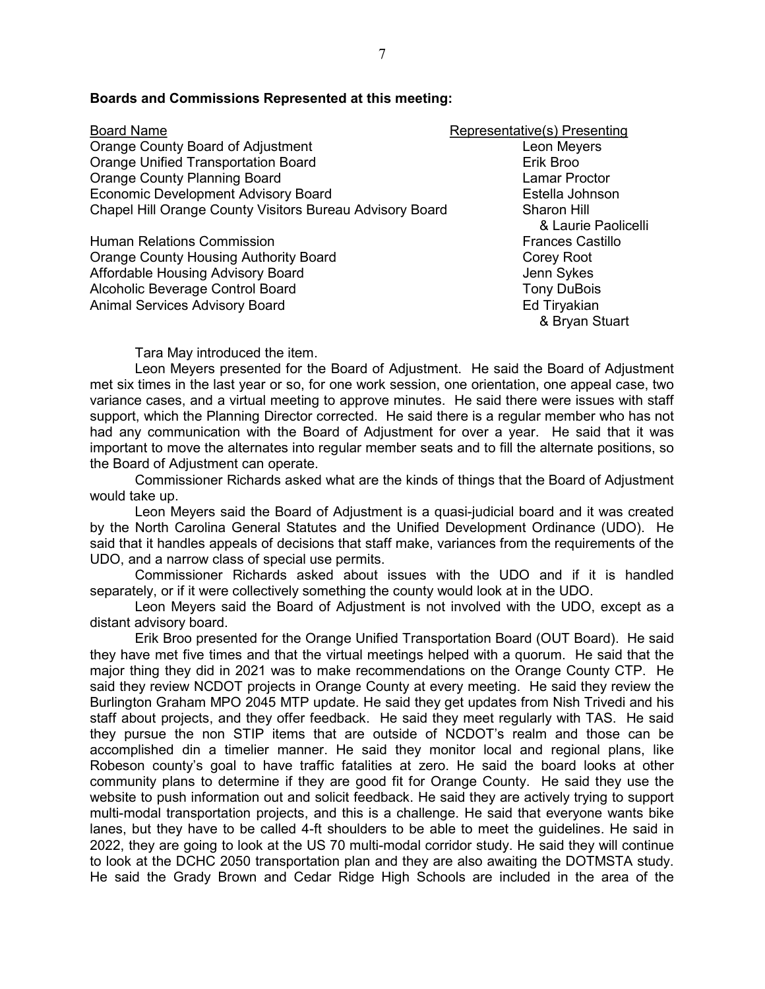| <b>Board Name</b>                                        | Representative(s) Presenting |
|----------------------------------------------------------|------------------------------|
| Orange County Board of Adjustment                        | Leon Meyers                  |
| <b>Orange Unified Transportation Board</b>               | Erik Broo                    |
| <b>Orange County Planning Board</b>                      | <b>Lamar Proctor</b>         |
| <b>Economic Development Advisory Board</b>               | Estella Johnson              |
| Chapel Hill Orange County Visitors Bureau Advisory Board | Sharon Hill                  |
|                                                          | & Laurie Paolicelli          |
| <b>Human Relations Commission</b>                        | <b>Frances Castillo</b>      |
| <b>Orange County Housing Authority Board</b>             | Corey Root                   |
| <b>Affordable Housing Advisory Board</b>                 | Jenn Sykes                   |
| Alcoholic Beverage Control Board                         | <b>Tony DuBois</b>           |
| <b>Animal Services Advisory Board</b>                    | Ed Tiryakian                 |
|                                                          | & Bryan Stuart               |

#### Boards and Commissions Represented at this meeting:

Tara May introduced the item.

 Leon Meyers presented for the Board of Adjustment. He said the Board of Adjustment met six times in the last year or so, for one work session, one orientation, one appeal case, two variance cases, and a virtual meeting to approve minutes. He said there were issues with staff support, which the Planning Director corrected. He said there is a regular member who has not had any communication with the Board of Adjustment for over a year. He said that it was important to move the alternates into regular member seats and to fill the alternate positions, so the Board of Adjustment can operate.

 Commissioner Richards asked what are the kinds of things that the Board of Adjustment would take up.

 Leon Meyers said the Board of Adjustment is a quasi-judicial board and it was created by the North Carolina General Statutes and the Unified Development Ordinance (UDO). He said that it handles appeals of decisions that staff make, variances from the requirements of the UDO, and a narrow class of special use permits.

 Commissioner Richards asked about issues with the UDO and if it is handled separately, or if it were collectively something the county would look at in the UDO.

 Leon Meyers said the Board of Adjustment is not involved with the UDO, except as a distant advisory board.

 Erik Broo presented for the Orange Unified Transportation Board (OUT Board). He said they have met five times and that the virtual meetings helped with a quorum. He said that the major thing they did in 2021 was to make recommendations on the Orange County CTP. He said they review NCDOT projects in Orange County at every meeting. He said they review the Burlington Graham MPO 2045 MTP update. He said they get updates from Nish Trivedi and his staff about projects, and they offer feedback. He said they meet regularly with TAS. He said they pursue the non STIP items that are outside of NCDOT's realm and those can be accomplished din a timelier manner. He said they monitor local and regional plans, like Robeson county's goal to have traffic fatalities at zero. He said the board looks at other community plans to determine if they are good fit for Orange County. He said they use the website to push information out and solicit feedback. He said they are actively trying to support multi-modal transportation projects, and this is a challenge. He said that everyone wants bike lanes, but they have to be called 4-ft shoulders to be able to meet the guidelines. He said in 2022, they are going to look at the US 70 multi-modal corridor study. He said they will continue to look at the DCHC 2050 transportation plan and they are also awaiting the DOTMSTA study. He said the Grady Brown and Cedar Ridge High Schools are included in the area of the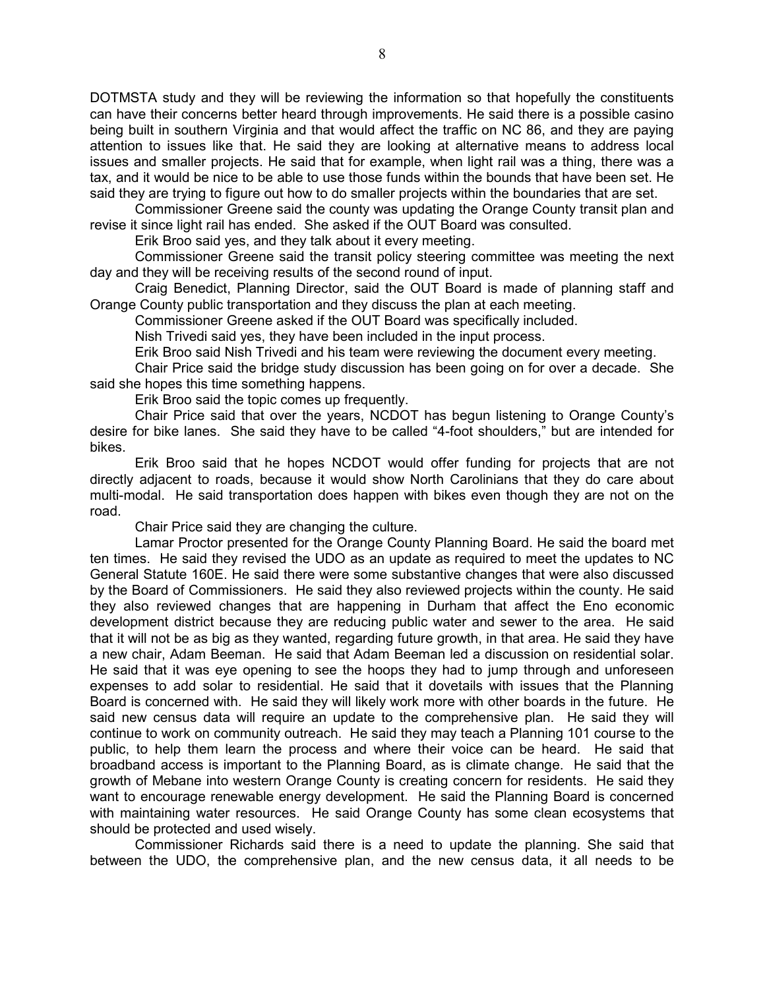DOTMSTA study and they will be reviewing the information so that hopefully the constituents can have their concerns better heard through improvements. He said there is a possible casino being built in southern Virginia and that would affect the traffic on NC 86, and they are paying attention to issues like that. He said they are looking at alternative means to address local issues and smaller projects. He said that for example, when light rail was a thing, there was a tax, and it would be nice to be able to use those funds within the bounds that have been set. He said they are trying to figure out how to do smaller projects within the boundaries that are set.

 Commissioner Greene said the county was updating the Orange County transit plan and revise it since light rail has ended. She asked if the OUT Board was consulted.

Erik Broo said yes, and they talk about it every meeting.

 Commissioner Greene said the transit policy steering committee was meeting the next day and they will be receiving results of the second round of input.

 Craig Benedict, Planning Director, said the OUT Board is made of planning staff and Orange County public transportation and they discuss the plan at each meeting.

Commissioner Greene asked if the OUT Board was specifically included.

Nish Trivedi said yes, they have been included in the input process.

Erik Broo said Nish Trivedi and his team were reviewing the document every meeting.

 Chair Price said the bridge study discussion has been going on for over a decade. She said she hopes this time something happens.

Erik Broo said the topic comes up frequently.

 Chair Price said that over the years, NCDOT has begun listening to Orange County's desire for bike lanes. She said they have to be called "4-foot shoulders," but are intended for bikes.

 Erik Broo said that he hopes NCDOT would offer funding for projects that are not directly adjacent to roads, because it would show North Carolinians that they do care about multi-modal. He said transportation does happen with bikes even though they are not on the road.

Chair Price said they are changing the culture.

 Lamar Proctor presented for the Orange County Planning Board. He said the board met ten times. He said they revised the UDO as an update as required to meet the updates to NC General Statute 160E. He said there were some substantive changes that were also discussed by the Board of Commissioners. He said they also reviewed projects within the county. He said they also reviewed changes that are happening in Durham that affect the Eno economic development district because they are reducing public water and sewer to the area. He said that it will not be as big as they wanted, regarding future growth, in that area. He said they have a new chair, Adam Beeman. He said that Adam Beeman led a discussion on residential solar. He said that it was eye opening to see the hoops they had to jump through and unforeseen expenses to add solar to residential. He said that it dovetails with issues that the Planning Board is concerned with. He said they will likely work more with other boards in the future. He said new census data will require an update to the comprehensive plan. He said they will continue to work on community outreach. He said they may teach a Planning 101 course to the public, to help them learn the process and where their voice can be heard. He said that broadband access is important to the Planning Board, as is climate change. He said that the growth of Mebane into western Orange County is creating concern for residents. He said they want to encourage renewable energy development. He said the Planning Board is concerned with maintaining water resources. He said Orange County has some clean ecosystems that should be protected and used wisely.

 Commissioner Richards said there is a need to update the planning. She said that between the UDO, the comprehensive plan, and the new census data, it all needs to be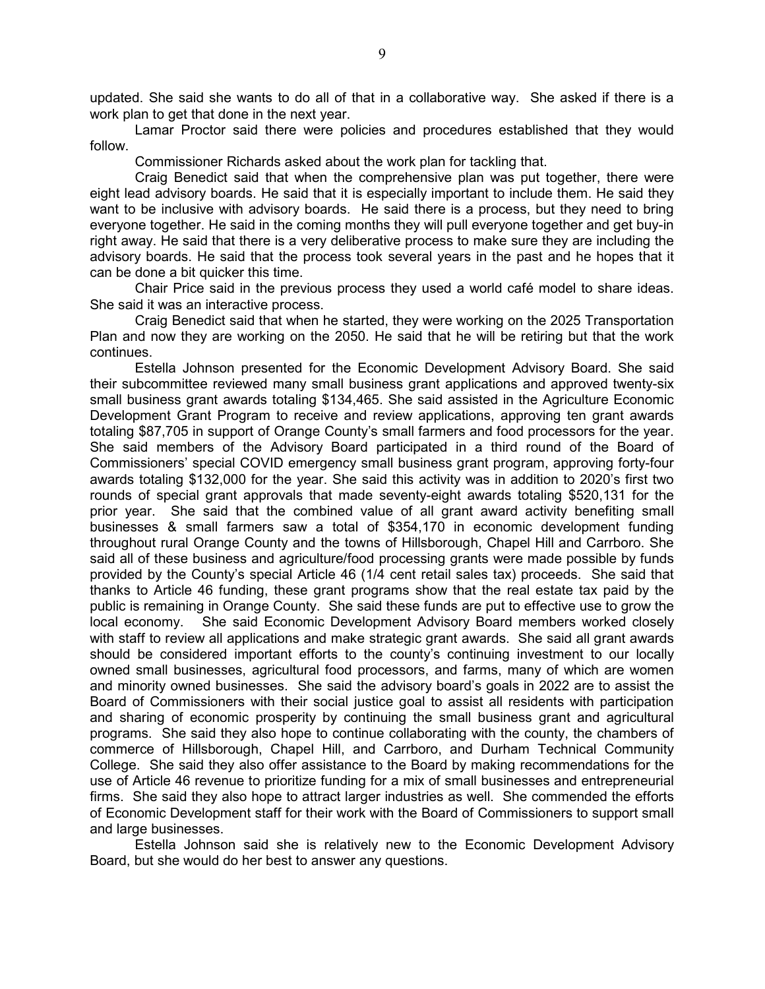updated. She said she wants to do all of that in a collaborative way. She asked if there is a work plan to get that done in the next year.

 Lamar Proctor said there were policies and procedures established that they would follow.

Commissioner Richards asked about the work plan for tackling that.

 Craig Benedict said that when the comprehensive plan was put together, there were eight lead advisory boards. He said that it is especially important to include them. He said they want to be inclusive with advisory boards. He said there is a process, but they need to bring everyone together. He said in the coming months they will pull everyone together and get buy-in right away. He said that there is a very deliberative process to make sure they are including the advisory boards. He said that the process took several years in the past and he hopes that it can be done a bit quicker this time.

 Chair Price said in the previous process they used a world café model to share ideas. She said it was an interactive process.

 Craig Benedict said that when he started, they were working on the 2025 Transportation Plan and now they are working on the 2050. He said that he will be retiring but that the work continues.

 Estella Johnson presented for the Economic Development Advisory Board. She said their subcommittee reviewed many small business grant applications and approved twenty-six small business grant awards totaling \$134,465. She said assisted in the Agriculture Economic Development Grant Program to receive and review applications, approving ten grant awards totaling \$87,705 in support of Orange County's small farmers and food processors for the year. She said members of the Advisory Board participated in a third round of the Board of Commissioners' special COVID emergency small business grant program, approving forty-four awards totaling \$132,000 for the year. She said this activity was in addition to 2020's first two rounds of special grant approvals that made seventy-eight awards totaling \$520,131 for the prior year. She said that the combined value of all grant award activity benefiting small businesses & small farmers saw a total of \$354,170 in economic development funding throughout rural Orange County and the towns of Hillsborough, Chapel Hill and Carrboro. She said all of these business and agriculture/food processing grants were made possible by funds provided by the County's special Article 46 (1/4 cent retail sales tax) proceeds. She said that thanks to Article 46 funding, these grant programs show that the real estate tax paid by the public is remaining in Orange County. She said these funds are put to effective use to grow the local economy. She said Economic Development Advisory Board members worked closely with staff to review all applications and make strategic grant awards. She said all grant awards should be considered important efforts to the county's continuing investment to our locally owned small businesses, agricultural food processors, and farms, many of which are women and minority owned businesses. She said the advisory board's goals in 2022 are to assist the Board of Commissioners with their social justice goal to assist all residents with participation and sharing of economic prosperity by continuing the small business grant and agricultural programs. She said they also hope to continue collaborating with the county, the chambers of commerce of Hillsborough, Chapel Hill, and Carrboro, and Durham Technical Community College. She said they also offer assistance to the Board by making recommendations for the use of Article 46 revenue to prioritize funding for a mix of small businesses and entrepreneurial firms. She said they also hope to attract larger industries as well. She commended the efforts of Economic Development staff for their work with the Board of Commissioners to support small and large businesses.

 Estella Johnson said she is relatively new to the Economic Development Advisory Board, but she would do her best to answer any questions.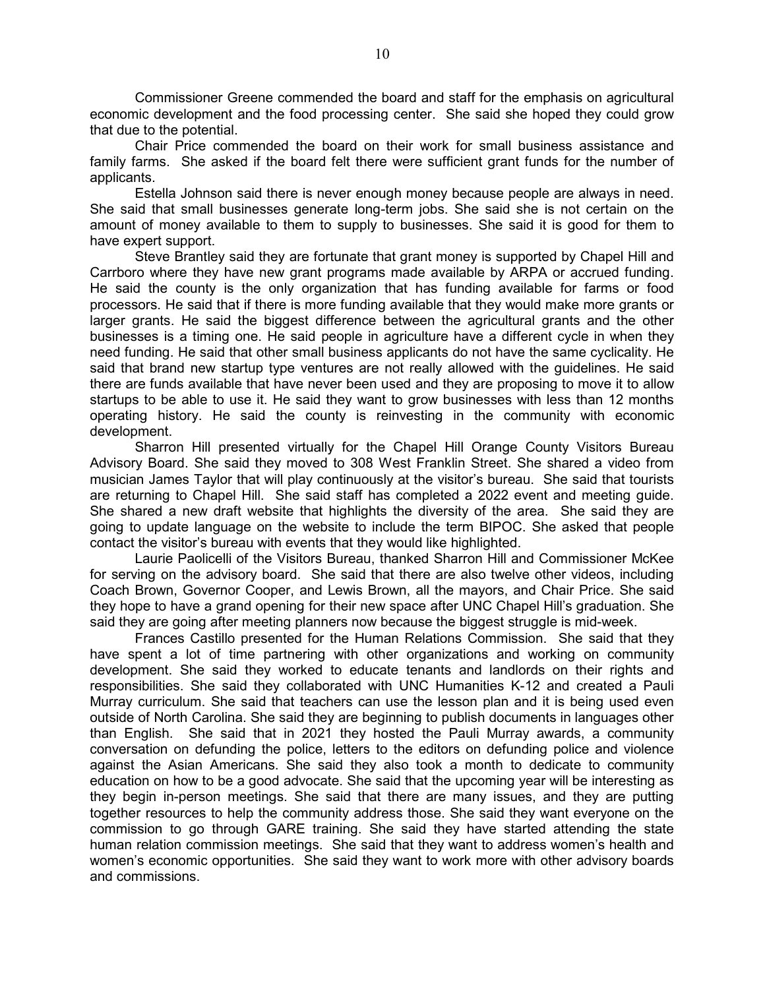Commissioner Greene commended the board and staff for the emphasis on agricultural economic development and the food processing center. She said she hoped they could grow that due to the potential.

 Chair Price commended the board on their work for small business assistance and family farms. She asked if the board felt there were sufficient grant funds for the number of applicants.

 Estella Johnson said there is never enough money because people are always in need. She said that small businesses generate long-term jobs. She said she is not certain on the amount of money available to them to supply to businesses. She said it is good for them to have expert support.

 Steve Brantley said they are fortunate that grant money is supported by Chapel Hill and Carrboro where they have new grant programs made available by ARPA or accrued funding. He said the county is the only organization that has funding available for farms or food processors. He said that if there is more funding available that they would make more grants or larger grants. He said the biggest difference between the agricultural grants and the other businesses is a timing one. He said people in agriculture have a different cycle in when they need funding. He said that other small business applicants do not have the same cyclicality. He said that brand new startup type ventures are not really allowed with the guidelines. He said there are funds available that have never been used and they are proposing to move it to allow startups to be able to use it. He said they want to grow businesses with less than 12 months operating history. He said the county is reinvesting in the community with economic development.

 Sharron Hill presented virtually for the Chapel Hill Orange County Visitors Bureau Advisory Board. She said they moved to 308 West Franklin Street. She shared a video from musician James Taylor that will play continuously at the visitor's bureau. She said that tourists are returning to Chapel Hill. She said staff has completed a 2022 event and meeting guide. She shared a new draft website that highlights the diversity of the area. She said they are going to update language on the website to include the term BIPOC. She asked that people contact the visitor's bureau with events that they would like highlighted.

 Laurie Paolicelli of the Visitors Bureau, thanked Sharron Hill and Commissioner McKee for serving on the advisory board. She said that there are also twelve other videos, including Coach Brown, Governor Cooper, and Lewis Brown, all the mayors, and Chair Price. She said they hope to have a grand opening for their new space after UNC Chapel Hill's graduation. She said they are going after meeting planners now because the biggest struggle is mid-week.

 Frances Castillo presented for the Human Relations Commission. She said that they have spent a lot of time partnering with other organizations and working on community development. She said they worked to educate tenants and landlords on their rights and responsibilities. She said they collaborated with UNC Humanities K-12 and created a Pauli Murray curriculum. She said that teachers can use the lesson plan and it is being used even outside of North Carolina. She said they are beginning to publish documents in languages other than English. She said that in 2021 they hosted the Pauli Murray awards, a community conversation on defunding the police, letters to the editors on defunding police and violence against the Asian Americans. She said they also took a month to dedicate to community education on how to be a good advocate. She said that the upcoming year will be interesting as they begin in-person meetings. She said that there are many issues, and they are putting together resources to help the community address those. She said they want everyone on the commission to go through GARE training. She said they have started attending the state human relation commission meetings. She said that they want to address women's health and women's economic opportunities. She said they want to work more with other advisory boards and commissions.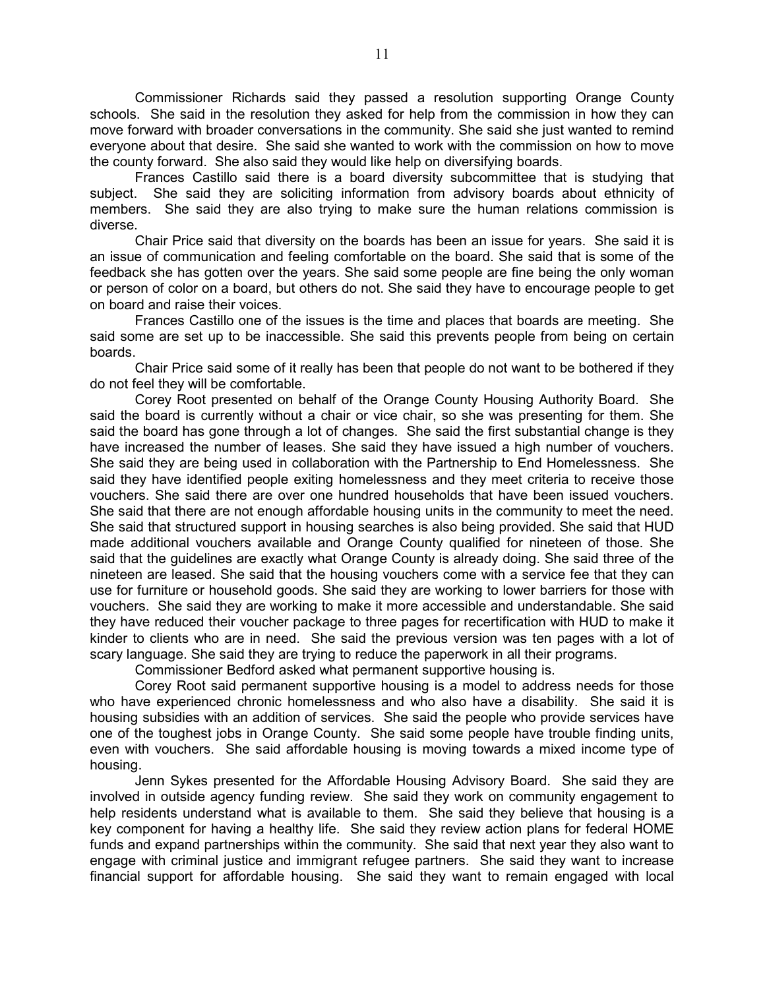Commissioner Richards said they passed a resolution supporting Orange County schools. She said in the resolution they asked for help from the commission in how they can move forward with broader conversations in the community. She said she just wanted to remind everyone about that desire. She said she wanted to work with the commission on how to move the county forward. She also said they would like help on diversifying boards.

 Frances Castillo said there is a board diversity subcommittee that is studying that subject. She said they are soliciting information from advisory boards about ethnicity of members. She said they are also trying to make sure the human relations commission is diverse.

 Chair Price said that diversity on the boards has been an issue for years. She said it is an issue of communication and feeling comfortable on the board. She said that is some of the feedback she has gotten over the years. She said some people are fine being the only woman or person of color on a board, but others do not. She said they have to encourage people to get on board and raise their voices.

 Frances Castillo one of the issues is the time and places that boards are meeting. She said some are set up to be inaccessible. She said this prevents people from being on certain boards.

 Chair Price said some of it really has been that people do not want to be bothered if they do not feel they will be comfortable.

 Corey Root presented on behalf of the Orange County Housing Authority Board. She said the board is currently without a chair or vice chair, so she was presenting for them. She said the board has gone through a lot of changes. She said the first substantial change is they have increased the number of leases. She said they have issued a high number of vouchers. She said they are being used in collaboration with the Partnership to End Homelessness. She said they have identified people exiting homelessness and they meet criteria to receive those vouchers. She said there are over one hundred households that have been issued vouchers. She said that there are not enough affordable housing units in the community to meet the need. She said that structured support in housing searches is also being provided. She said that HUD made additional vouchers available and Orange County qualified for nineteen of those. She said that the guidelines are exactly what Orange County is already doing. She said three of the nineteen are leased. She said that the housing vouchers come with a service fee that they can use for furniture or household goods. She said they are working to lower barriers for those with vouchers. She said they are working to make it more accessible and understandable. She said they have reduced their voucher package to three pages for recertification with HUD to make it kinder to clients who are in need. She said the previous version was ten pages with a lot of scary language. She said they are trying to reduce the paperwork in all their programs.

Commissioner Bedford asked what permanent supportive housing is.

 Corey Root said permanent supportive housing is a model to address needs for those who have experienced chronic homelessness and who also have a disability. She said it is housing subsidies with an addition of services. She said the people who provide services have one of the toughest jobs in Orange County. She said some people have trouble finding units, even with vouchers. She said affordable housing is moving towards a mixed income type of housing.

 Jenn Sykes presented for the Affordable Housing Advisory Board. She said they are involved in outside agency funding review. She said they work on community engagement to help residents understand what is available to them. She said they believe that housing is a key component for having a healthy life. She said they review action plans for federal HOME funds and expand partnerships within the community. She said that next year they also want to engage with criminal justice and immigrant refugee partners. She said they want to increase financial support for affordable housing. She said they want to remain engaged with local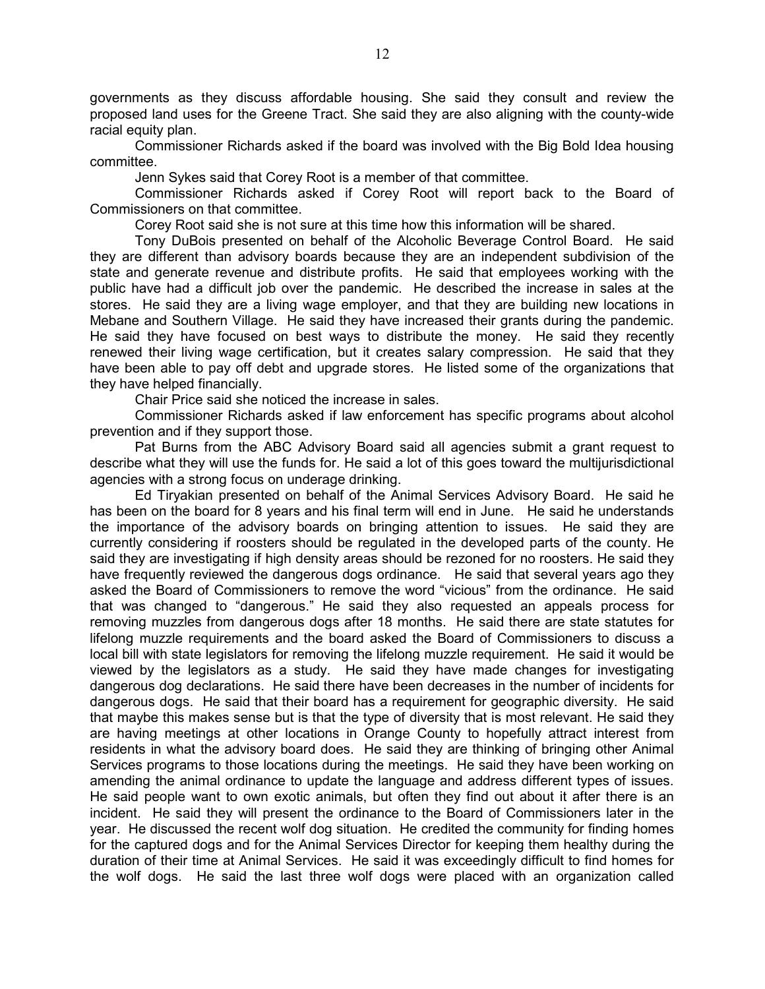governments as they discuss affordable housing. She said they consult and review the proposed land uses for the Greene Tract. She said they are also aligning with the county-wide racial equity plan.

 Commissioner Richards asked if the board was involved with the Big Bold Idea housing committee.

Jenn Sykes said that Corey Root is a member of that committee.

 Commissioner Richards asked if Corey Root will report back to the Board of Commissioners on that committee.

Corey Root said she is not sure at this time how this information will be shared.

 Tony DuBois presented on behalf of the Alcoholic Beverage Control Board. He said they are different than advisory boards because they are an independent subdivision of the state and generate revenue and distribute profits. He said that employees working with the public have had a difficult job over the pandemic. He described the increase in sales at the stores. He said they are a living wage employer, and that they are building new locations in Mebane and Southern Village. He said they have increased their grants during the pandemic. He said they have focused on best ways to distribute the money. He said they recently renewed their living wage certification, but it creates salary compression. He said that they have been able to pay off debt and upgrade stores. He listed some of the organizations that they have helped financially.

Chair Price said she noticed the increase in sales.

 Commissioner Richards asked if law enforcement has specific programs about alcohol prevention and if they support those.

 Pat Burns from the ABC Advisory Board said all agencies submit a grant request to describe what they will use the funds for. He said a lot of this goes toward the multijurisdictional agencies with a strong focus on underage drinking.

 Ed Tiryakian presented on behalf of the Animal Services Advisory Board. He said he has been on the board for 8 years and his final term will end in June. He said he understands the importance of the advisory boards on bringing attention to issues. He said they are currently considering if roosters should be regulated in the developed parts of the county. He said they are investigating if high density areas should be rezoned for no roosters. He said they have frequently reviewed the dangerous dogs ordinance. He said that several years ago they asked the Board of Commissioners to remove the word "vicious" from the ordinance. He said that was changed to "dangerous." He said they also requested an appeals process for removing muzzles from dangerous dogs after 18 months. He said there are state statutes for lifelong muzzle requirements and the board asked the Board of Commissioners to discuss a local bill with state legislators for removing the lifelong muzzle requirement. He said it would be viewed by the legislators as a study. He said they have made changes for investigating dangerous dog declarations. He said there have been decreases in the number of incidents for dangerous dogs. He said that their board has a requirement for geographic diversity. He said that maybe this makes sense but is that the type of diversity that is most relevant. He said they are having meetings at other locations in Orange County to hopefully attract interest from residents in what the advisory board does. He said they are thinking of bringing other Animal Services programs to those locations during the meetings. He said they have been working on amending the animal ordinance to update the language and address different types of issues. He said people want to own exotic animals, but often they find out about it after there is an incident. He said they will present the ordinance to the Board of Commissioners later in the year. He discussed the recent wolf dog situation. He credited the community for finding homes for the captured dogs and for the Animal Services Director for keeping them healthy during the duration of their time at Animal Services. He said it was exceedingly difficult to find homes for the wolf dogs. He said the last three wolf dogs were placed with an organization called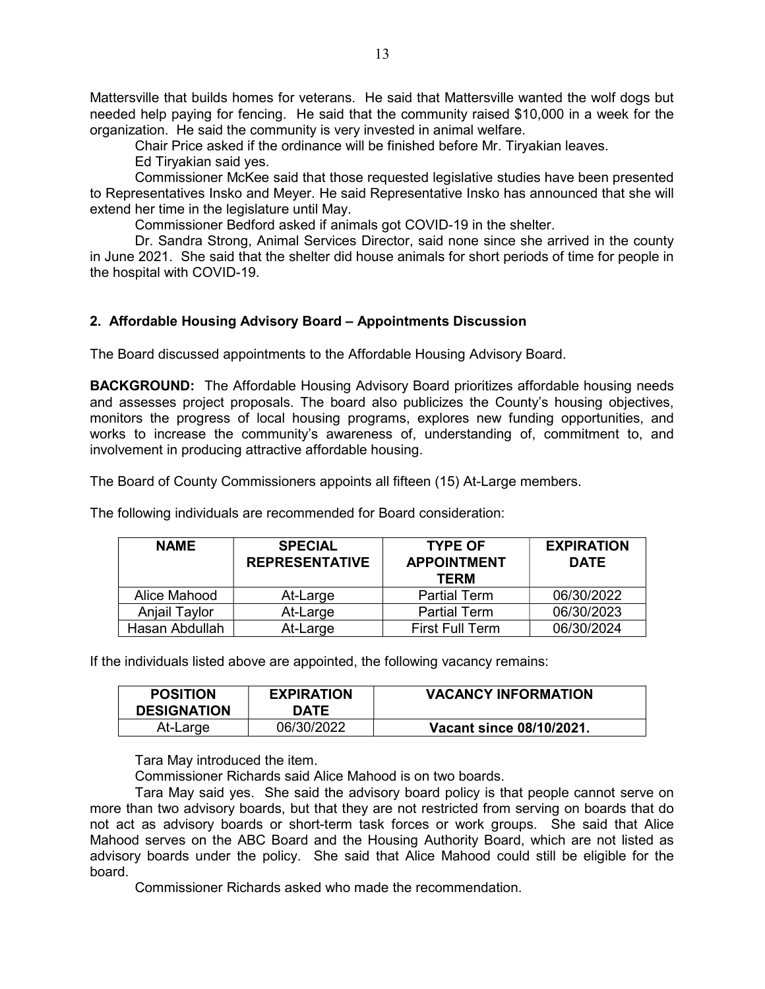Mattersville that builds homes for veterans. He said that Mattersville wanted the wolf dogs but needed help paying for fencing. He said that the community raised \$10,000 in a week for the organization. He said the community is very invested in animal welfare.

Chair Price asked if the ordinance will be finished before Mr. Tiryakian leaves.

Ed Tiryakian said yes.

 Commissioner McKee said that those requested legislative studies have been presented to Representatives Insko and Meyer. He said Representative Insko has announced that she will extend her time in the legislature until May.

Commissioner Bedford asked if animals got COVID-19 in the shelter.

 Dr. Sandra Strong, Animal Services Director, said none since she arrived in the county in June 2021. She said that the shelter did house animals for short periods of time for people in the hospital with COVID-19.

#### 2. Affordable Housing Advisory Board – Appointments Discussion

The Board discussed appointments to the Affordable Housing Advisory Board.

**BACKGROUND:** The Affordable Housing Advisory Board prioritizes affordable housing needs and assesses project proposals. The board also publicizes the County's housing objectives, monitors the progress of local housing programs, explores new funding opportunities, and works to increase the community's awareness of, understanding of, commitment to, and involvement in producing attractive affordable housing.

The Board of County Commissioners appoints all fifteen (15) At-Large members.

The following individuals are recommended for Board consideration:

| <b>NAME</b>          | <b>SPECIAL</b><br><b>REPRESENTATIVE</b> | <b>TYPE OF</b><br><b>APPOINTMENT</b><br><b>TERM</b> | <b>EXPIRATION</b><br><b>DATE</b> |
|----------------------|-----------------------------------------|-----------------------------------------------------|----------------------------------|
| Alice Mahood         | At-Large                                | <b>Partial Term</b>                                 | 06/30/2022                       |
| <b>Anjail Taylor</b> | At-Large                                | <b>Partial Term</b>                                 | 06/30/2023                       |
| Hasan Abdullah       | At-Large                                | <b>First Full Term</b>                              | 06/30/2024                       |

If the individuals listed above are appointed, the following vacancy remains:

| <b>POSITION</b><br><b>DESIGNATION</b> | <b>EXPIRATION</b><br>DATE | <b>VACANCY INFORMATION</b> |
|---------------------------------------|---------------------------|----------------------------|
| At-Large                              | 06/30/2022                | Vacant since 08/10/2021.   |

Tara May introduced the item.

Commissioner Richards said Alice Mahood is on two boards.

 Tara May said yes. She said the advisory board policy is that people cannot serve on more than two advisory boards, but that they are not restricted from serving on boards that do not act as advisory boards or short-term task forces or work groups. She said that Alice Mahood serves on the ABC Board and the Housing Authority Board, which are not listed as advisory boards under the policy. She said that Alice Mahood could still be eligible for the board.

Commissioner Richards asked who made the recommendation.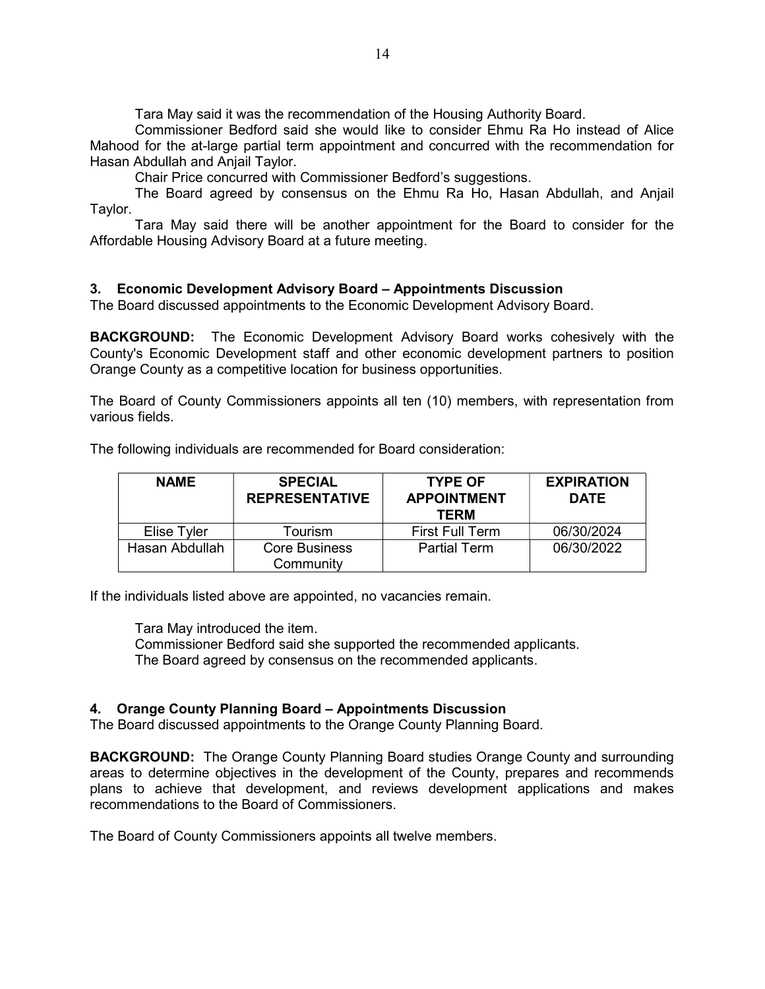Tara May said it was the recommendation of the Housing Authority Board.

 Commissioner Bedford said she would like to consider Ehmu Ra Ho instead of Alice Mahood for the at-large partial term appointment and concurred with the recommendation for Hasan Abdullah and Anjail Taylor.

Chair Price concurred with Commissioner Bedford's suggestions.

 The Board agreed by consensus on the Ehmu Ra Ho, Hasan Abdullah, and Anjail Taylor.

 Tara May said there will be another appointment for the Board to consider for the Affordable Housing Advisory Board at a future meeting.

#### 3. Economic Development Advisory Board – Appointments Discussion

The Board discussed appointments to the Economic Development Advisory Board.

BACKGROUND: The Economic Development Advisory Board works cohesively with the County's Economic Development staff and other economic development partners to position Orange County as a competitive location for business opportunities.

The Board of County Commissioners appoints all ten (10) members, with representation from various fields.

| <b>NAME</b>    | <b>SPECIAL</b><br><b>REPRESENTATIVE</b> | <b>TYPE OF</b><br><b>APPOINTMENT</b><br><b>TERM</b> | <b>EXPIRATION</b><br><b>DATE</b> |
|----------------|-----------------------------------------|-----------------------------------------------------|----------------------------------|
| Elise Tyler    | Tourism                                 | <b>First Full Term</b>                              | 06/30/2024                       |
| Hasan Abdullah | <b>Core Business</b><br>Community       | <b>Partial Term</b>                                 | 06/30/2022                       |

The following individuals are recommended for Board consideration:

If the individuals listed above are appointed, no vacancies remain.

Tara May introduced the item.

 Commissioner Bedford said she supported the recommended applicants. The Board agreed by consensus on the recommended applicants.

#### 4. Orange County Planning Board – Appointments Discussion

The Board discussed appointments to the Orange County Planning Board.

BACKGROUND: The Orange County Planning Board studies Orange County and surrounding areas to determine objectives in the development of the County, prepares and recommends plans to achieve that development, and reviews development applications and makes recommendations to the Board of Commissioners.

The Board of County Commissioners appoints all twelve members.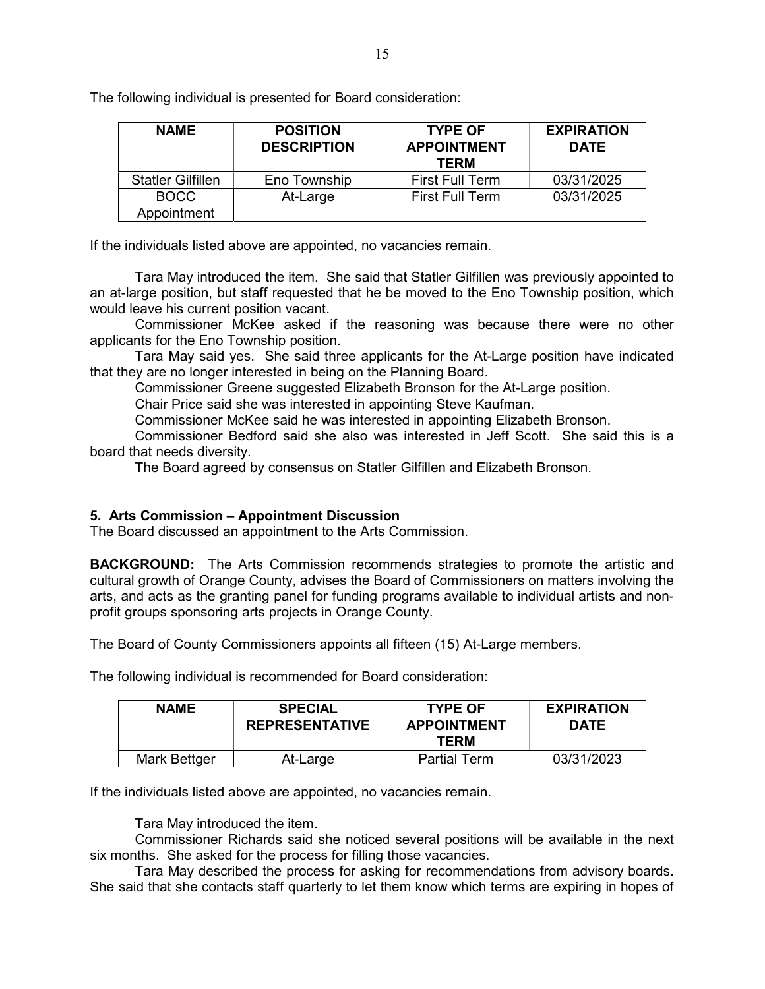The following individual is presented for Board consideration:

| <b>NAME</b>                | <b>POSITION</b><br><b>DESCRIPTION</b> | <b>TYPE OF</b><br><b>APPOINTMENT</b><br><b>TERM</b> | <b>EXPIRATION</b><br><b>DATE</b> |
|----------------------------|---------------------------------------|-----------------------------------------------------|----------------------------------|
| <b>Statler Gilfillen</b>   | Eno Township                          | <b>First Full Term</b>                              | 03/31/2025                       |
| <b>BOCC</b><br>Appointment | At-Large                              | <b>First Full Term</b>                              | 03/31/2025                       |

If the individuals listed above are appointed, no vacancies remain.

 Tara May introduced the item. She said that Statler Gilfillen was previously appointed to an at-large position, but staff requested that he be moved to the Eno Township position, which would leave his current position vacant.

 Commissioner McKee asked if the reasoning was because there were no other applicants for the Eno Township position.

 Tara May said yes. She said three applicants for the At-Large position have indicated that they are no longer interested in being on the Planning Board.

Commissioner Greene suggested Elizabeth Bronson for the At-Large position.

Chair Price said she was interested in appointing Steve Kaufman.

Commissioner McKee said he was interested in appointing Elizabeth Bronson.

 Commissioner Bedford said she also was interested in Jeff Scott. She said this is a board that needs diversity.

The Board agreed by consensus on Statler Gilfillen and Elizabeth Bronson.

#### 5. Arts Commission – Appointment Discussion

The Board discussed an appointment to the Arts Commission.

**BACKGROUND:** The Arts Commission recommends strategies to promote the artistic and cultural growth of Orange County, advises the Board of Commissioners on matters involving the arts, and acts as the granting panel for funding programs available to individual artists and nonprofit groups sponsoring arts projects in Orange County.

The Board of County Commissioners appoints all fifteen (15) At-Large members.

The following individual is recommended for Board consideration:

| <b>NAME</b>  | <b>SPECIAL</b><br><b>REPRESENTATIVE</b> | <b>TYPE OF</b><br><b>APPOINTMENT</b><br>TERM | <b>EXPIRATION</b><br><b>DATE</b> |
|--------------|-----------------------------------------|----------------------------------------------|----------------------------------|
| Mark Bettger | At-Large                                | <b>Partial Term</b>                          | 03/31/2023                       |

If the individuals listed above are appointed, no vacancies remain.

Tara May introduced the item.

 Commissioner Richards said she noticed several positions will be available in the next six months. She asked for the process for filling those vacancies.

 Tara May described the process for asking for recommendations from advisory boards. She said that she contacts staff quarterly to let them know which terms are expiring in hopes of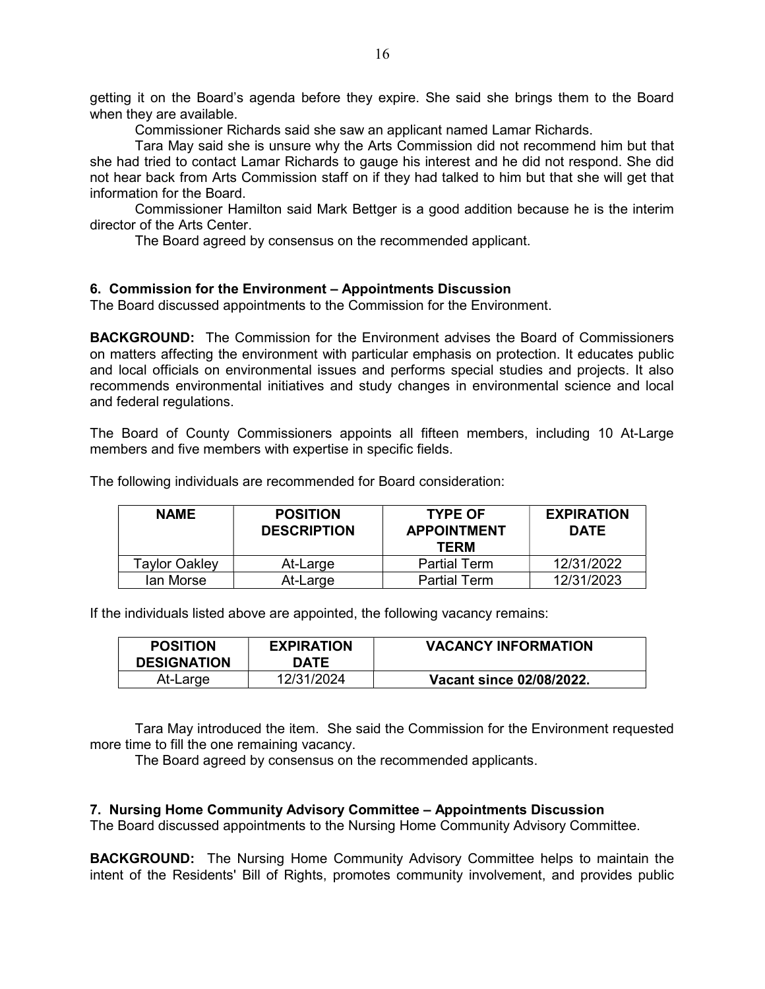getting it on the Board's agenda before they expire. She said she brings them to the Board when they are available.

Commissioner Richards said she saw an applicant named Lamar Richards.

 Tara May said she is unsure why the Arts Commission did not recommend him but that she had tried to contact Lamar Richards to gauge his interest and he did not respond. She did not hear back from Arts Commission staff on if they had talked to him but that she will get that information for the Board.

 Commissioner Hamilton said Mark Bettger is a good addition because he is the interim director of the Arts Center.

The Board agreed by consensus on the recommended applicant.

#### 6. Commission for the Environment – Appointments Discussion

The Board discussed appointments to the Commission for the Environment.

**BACKGROUND:** The Commission for the Environment advises the Board of Commissioners on matters affecting the environment with particular emphasis on protection. It educates public and local officials on environmental issues and performs special studies and projects. It also recommends environmental initiatives and study changes in environmental science and local and federal regulations.

The Board of County Commissioners appoints all fifteen members, including 10 At-Large members and five members with expertise in specific fields.

| <b>NAME</b>          | <b>POSITION</b><br><b>DESCRIPTION</b> | <b>TYPE OF</b><br><b>APPOINTMENT</b><br><b>TERM</b> | <b>EXPIRATION</b><br><b>DATE</b> |
|----------------------|---------------------------------------|-----------------------------------------------------|----------------------------------|
| <b>Taylor Oakley</b> | At-Large                              | <b>Partial Term</b>                                 | 12/31/2022                       |
| lan Morse            | At-Large                              | <b>Partial Term</b>                                 | 12/31/2023                       |

The following individuals are recommended for Board consideration:

If the individuals listed above are appointed, the following vacancy remains:

| <b>POSITION</b><br><b>DESIGNATION</b> | <b>EXPIRATION</b><br><b>DATE</b> | <b>VACANCY INFORMATION</b> |
|---------------------------------------|----------------------------------|----------------------------|
| At-Large                              | 12/31/2024                       | Vacant since 02/08/2022.   |

 Tara May introduced the item. She said the Commission for the Environment requested more time to fill the one remaining vacancy.

The Board agreed by consensus on the recommended applicants.

#### 7. Nursing Home Community Advisory Committee – Appointments Discussion

The Board discussed appointments to the Nursing Home Community Advisory Committee.

BACKGROUND: The Nursing Home Community Advisory Committee helps to maintain the intent of the Residents' Bill of Rights, promotes community involvement, and provides public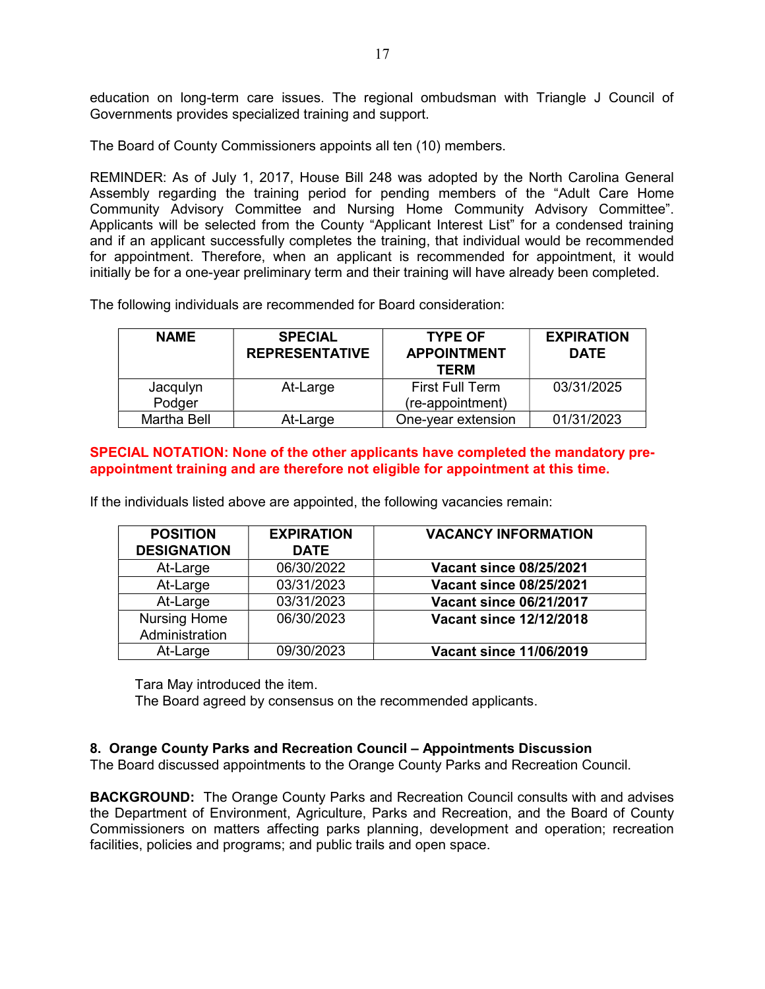education on long-term care issues. The regional ombudsman with Triangle J Council of Governments provides specialized training and support.

The Board of County Commissioners appoints all ten (10) members.

REMINDER: As of July 1, 2017, House Bill 248 was adopted by the North Carolina General Assembly regarding the training period for pending members of the "Adult Care Home Community Advisory Committee and Nursing Home Community Advisory Committee". Applicants will be selected from the County "Applicant Interest List" for a condensed training and if an applicant successfully completes the training, that individual would be recommended for appointment. Therefore, when an applicant is recommended for appointment, it would initially be for a one-year preliminary term and their training will have already been completed.

The following individuals are recommended for Board consideration:

| <b>NAME</b>        | <b>SPECIAL</b><br><b>REPRESENTATIVE</b> | <b>TYPE OF</b><br><b>APPOINTMENT</b><br><b>TERM</b> | <b>EXPIRATION</b><br><b>DATE</b> |
|--------------------|-----------------------------------------|-----------------------------------------------------|----------------------------------|
| Jacqulyn           | At-Large                                | <b>First Full Term</b>                              | 03/31/2025                       |
| Podger             |                                         | (re-appointment)                                    |                                  |
| <b>Martha Bell</b> | At-Large                                | One-year extension                                  | 01/31/2023                       |

#### SPECIAL NOTATION: None of the other applicants have completed the mandatory preappointment training and are therefore not eligible for appointment at this time.

If the individuals listed above are appointed, the following vacancies remain:

| <b>POSITION</b><br><b>DESIGNATION</b> | <b>EXPIRATION</b><br><b>DATE</b> | <b>VACANCY INFORMATION</b>     |
|---------------------------------------|----------------------------------|--------------------------------|
| At-Large                              | 06/30/2022                       | <b>Vacant since 08/25/2021</b> |
| At-Large                              | 03/31/2023                       | <b>Vacant since 08/25/2021</b> |
| At-Large                              | 03/31/2023                       | <b>Vacant since 06/21/2017</b> |
| <b>Nursing Home</b><br>Administration | 06/30/2023                       | <b>Vacant since 12/12/2018</b> |
| At-Large                              | 09/30/2023                       | <b>Vacant since 11/06/2019</b> |

Tara May introduced the item.

The Board agreed by consensus on the recommended applicants.

#### 8. Orange County Parks and Recreation Council – Appointments Discussion

The Board discussed appointments to the Orange County Parks and Recreation Council.

BACKGROUND: The Orange County Parks and Recreation Council consults with and advises the Department of Environment, Agriculture, Parks and Recreation, and the Board of County Commissioners on matters affecting parks planning, development and operation; recreation facilities, policies and programs; and public trails and open space.